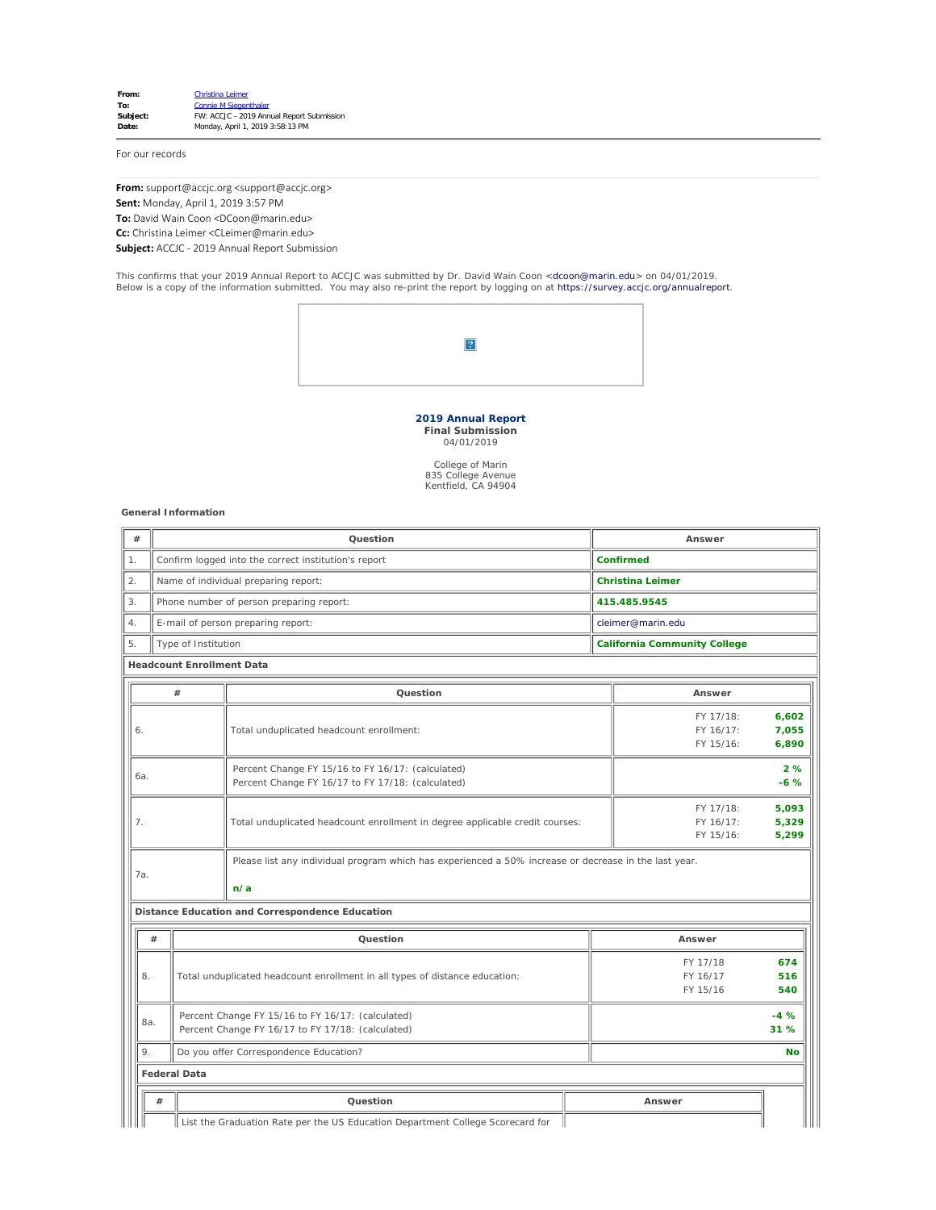## **2019 Annual Report Final Submission** 04/01/2019

College of Marin 835 College Avenue Kentfield, CA 94904

## **General Information**

| $^{\#}$ |                                                                                                              | Question                                                                                               |  | Answer                              |                         |  |  |
|---------|--------------------------------------------------------------------------------------------------------------|--------------------------------------------------------------------------------------------------------|--|-------------------------------------|-------------------------|--|--|
| 1.      |                                                                                                              | Confirm logged into the correct institution's report                                                   |  | <b>Confirmed</b>                    |                         |  |  |
| 2.      |                                                                                                              | Name of individual preparing report:                                                                   |  | <b>Christina Leimer</b>             |                         |  |  |
| 3.      |                                                                                                              | Phone number of person preparing report:                                                               |  | 415.485.9545                        |                         |  |  |
| 4.      |                                                                                                              | E-mail of person preparing report:                                                                     |  | cleimer@marin.edu                   |                         |  |  |
| 5.      |                                                                                                              | Type of Institution                                                                                    |  | <b>California Community College</b> |                         |  |  |
|         | <b>Headcount Enrollment Data</b>                                                                             |                                                                                                        |  |                                     |                         |  |  |
|         | $^{\#}$                                                                                                      | Question                                                                                               |  | Answer                              |                         |  |  |
| 6.      |                                                                                                              | Total unduplicated headcount enrollment:                                                               |  | FY 17/18:<br>FY 16/17:<br>FY 15/16: | 6,602<br>7,055<br>6,890 |  |  |
| 6а.     |                                                                                                              | Percent Change FY 15/16 to FY 16/17: (calculated)<br>Percent Change FY 16/17 to FY 17/18: (calculated) |  | 2%<br>$-6%$                         |                         |  |  |
| 7.      |                                                                                                              | Total unduplicated headcount enrollment in degree applicable credit courses:                           |  | FY 17/18:<br>FY 16/17:<br>FY 15/16: | 5,093<br>5,329<br>5,299 |  |  |
| 7а.     | Please list any individual program which has experienced a 50% increase or decrease in the last year.<br>n/a |                                                                                                        |  |                                     |                         |  |  |
|         |                                                                                                              | Distance Education and Correspondence Education                                                        |  |                                     |                         |  |  |
|         | #<br>Question<br>Answer                                                                                      |                                                                                                        |  |                                     |                         |  |  |
| 8.      |                                                                                                              | Total unduplicated headcount enrollment in all types of distance education:                            |  | FY 17/18<br>FY 16/17<br>FY 15/16    | 674<br>516<br>540       |  |  |
| 8a.     |                                                                                                              | Percent Change FY 15/16 to FY 16/17: (calculated)<br>Percent Change FY 16/17 to FY 17/18: (calculated) |  |                                     | $-4%$<br>31 %           |  |  |
| 9.      |                                                                                                              | Do you offer Correspondence Education?                                                                 |  |                                     | <b>No</b>               |  |  |
|         | <b>Federal Data</b>                                                                                          |                                                                                                        |  |                                     |                         |  |  |
|         | #                                                                                                            | Question                                                                                               |  | Answer                              |                         |  |  |
|         |                                                                                                              | List the Graduation Rate per the US Education Department College Scorecard for                         |  |                                     |                         |  |  |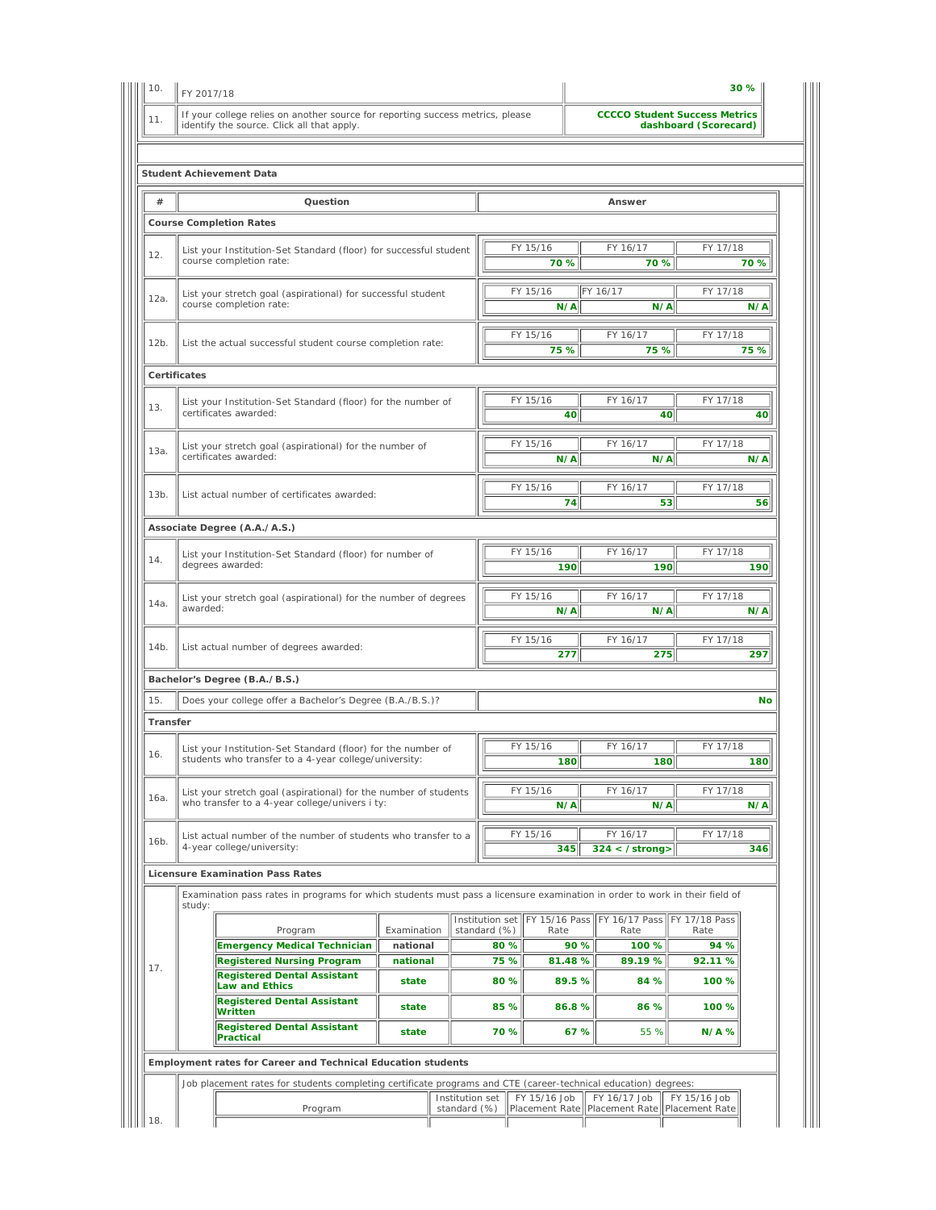| 10.                                                                      |                                                                                                                                   | 30%<br>FY 2017/18                                                                                                            |             |  |                                                |                 |                                |                                                               |                                |                                |     |
|--------------------------------------------------------------------------|-----------------------------------------------------------------------------------------------------------------------------------|------------------------------------------------------------------------------------------------------------------------------|-------------|--|------------------------------------------------|-----------------|--------------------------------|---------------------------------------------------------------|--------------------------------|--------------------------------|-----|
| 11.                                                                      |                                                                                                                                   | If your college relies on another source for reporting success metrics, please<br>identify the source. Click all that apply. |             |  |                                                |                 |                                | <b>CCCCO Student Success Metrics</b><br>dashboard (Scorecard) |                                |                                |     |
|                                                                          |                                                                                                                                   |                                                                                                                              |             |  |                                                |                 |                                |                                                               |                                |                                |     |
|                                                                          |                                                                                                                                   | <b>Student Achievement Data</b>                                                                                              |             |  |                                                |                 |                                |                                                               |                                |                                |     |
| #                                                                        | Question                                                                                                                          |                                                                                                                              |             |  |                                                | Answer          |                                |                                                               |                                |                                |     |
|                                                                          | <b>Course Completion Rates</b>                                                                                                    |                                                                                                                              |             |  |                                                |                 |                                |                                                               |                                |                                |     |
|                                                                          |                                                                                                                                   |                                                                                                                              |             |  |                                                |                 | FY 15/16                       |                                                               | FY 16/17                       | FY 17/18                       |     |
| 12.                                                                      | List your Institution-Set Standard (floor) for successful student<br>course completion rate:                                      |                                                                                                                              |             |  | 70 %                                           |                 | 70 %                           |                                                               | 70%                            |                                |     |
|                                                                          |                                                                                                                                   |                                                                                                                              |             |  |                                                |                 |                                |                                                               |                                |                                |     |
| 12a.                                                                     | List your stretch goal (aspirational) for successful student<br>course completion rate:                                           |                                                                                                                              |             |  | FY 15/16<br>N/A                                |                 | FY 16/17<br>N/A                | FY 17/18                                                      | N/A                            |                                |     |
| 12b.                                                                     | List the actual successful student course completion rate:                                                                        |                                                                                                                              |             |  | FY 15/16<br>75 %                               |                 | FY 16/17<br>75 %               | FY 17/18                                                      | 75 %                           |                                |     |
|                                                                          | <b>Certificates</b>                                                                                                               |                                                                                                                              |             |  |                                                |                 |                                |                                                               |                                |                                |     |
| FY 15/16<br>List your Institution-Set Standard (floor) for the number of |                                                                                                                                   |                                                                                                                              |             |  |                                                |                 | FY 16/17                       | FY 17/18                                                      |                                |                                |     |
| 13.                                                                      |                                                                                                                                   | certificates awarded:                                                                                                        |             |  |                                                | 40              |                                | 40                                                            |                                | 40                             |     |
|                                                                          |                                                                                                                                   |                                                                                                                              |             |  |                                                |                 | FY 15/16                       |                                                               | FY 16/17                       | FY 17/18                       |     |
| 13a.                                                                     | List your stretch goal (aspirational) for the number of<br>certificates awarded:                                                  |                                                                                                                              |             |  | N/A                                            |                 | N/A                            |                                                               | N/A                            |                                |     |
|                                                                          |                                                                                                                                   | List actual number of certificates awarded:                                                                                  |             |  |                                                | FY 15/16        |                                | FY 16/17                                                      | FY 17/18                       |                                |     |
| 13b.                                                                     |                                                                                                                                   |                                                                                                                              |             |  |                                                | 74              |                                | 53                                                            |                                | 56                             |     |
|                                                                          |                                                                                                                                   | Associate Degree (A.A./A.S.)                                                                                                 |             |  |                                                |                 |                                |                                                               |                                |                                |     |
|                                                                          |                                                                                                                                   |                                                                                                                              |             |  |                                                |                 |                                |                                                               |                                |                                |     |
| 14.                                                                      |                                                                                                                                   | List your Institution-Set Standard (floor) for number of<br>degrees awarded:                                                 |             |  |                                                | FY 15/16<br>190 |                                | FY 16/17<br>190                                               | FY 17/18                       | 190                            |     |
| 14a.                                                                     |                                                                                                                                   | List your stretch goal (aspirational) for the number of degrees                                                              |             |  |                                                | FY 15/16        |                                | FY 16/17                                                      | FY 17/18                       |                                |     |
|                                                                          | awarded:                                                                                                                          |                                                                                                                              |             |  |                                                |                 | N/A                            |                                                               | N/A                            |                                | N/A |
|                                                                          |                                                                                                                                   |                                                                                                                              |             |  |                                                |                 | FY 15/16                       |                                                               | FY 16/17                       | FY 17/18                       |     |
| 14b.                                                                     |                                                                                                                                   | List actual number of degrees awarded:                                                                                       |             |  |                                                |                 | 277                            |                                                               | 275                            |                                | 297 |
|                                                                          |                                                                                                                                   | Bachelor's Degree (B.A./B.S.)                                                                                                |             |  |                                                |                 |                                |                                                               |                                |                                |     |
| 15.                                                                      |                                                                                                                                   | Does your college offer a Bachelor's Degree (B.A./B.S.)?                                                                     |             |  |                                                |                 |                                |                                                               |                                |                                | No  |
| Transfer                                                                 |                                                                                                                                   |                                                                                                                              |             |  |                                                |                 |                                |                                                               |                                |                                |     |
|                                                                          | List your Institution-Set Standard (floor) for the number of                                                                      |                                                                                                                              |             |  | FY 15/16                                       |                 | FY 16/17                       | FY 17/18                                                      |                                |                                |     |
| 16.                                                                      |                                                                                                                                   | students who transfer to a 4-year college/university:                                                                        |             |  |                                                | 180             |                                | 180                                                           |                                | 180                            |     |
|                                                                          |                                                                                                                                   | List your stretch goal (aspirational) for the number of students                                                             |             |  |                                                |                 | FY 15/16                       |                                                               | FY 16/17                       | FY 17/18                       |     |
| 16a.                                                                     |                                                                                                                                   | who transfer to a 4-year college/univers i ty:                                                                               |             |  |                                                |                 | N/A                            |                                                               | N/A                            |                                | N/A |
|                                                                          |                                                                                                                                   |                                                                                                                              |             |  |                                                | FY 15/16        |                                | FY 16/17                                                      | FY 17/18                       |                                |     |
| 16b.                                                                     |                                                                                                                                   | List actual number of the number of students who transfer to a<br>4-year college/university:                                 |             |  |                                                |                 | 345                            |                                                               | $324 <$ /strong>               |                                | 346 |
|                                                                          | <b>Licensure Examination Pass Rates</b>                                                                                           |                                                                                                                              |             |  |                                                |                 |                                |                                                               |                                |                                |     |
|                                                                          | study:                                                                                                                            | Examination pass rates in programs for which students must pass a licensure examination in order to work in their field of   |             |  |                                                |                 |                                |                                                               |                                |                                |     |
|                                                                          |                                                                                                                                   | Program                                                                                                                      | Examination |  | Institution set IFY 15/16 Pass<br>standard (%) |                 | Rate                           |                                                               | FY 16/17 Pass<br>Rate          | FY 17/18 Pass<br>Rate          |     |
|                                                                          |                                                                                                                                   | <b>Emergency Medical Technician</b>                                                                                          | national    |  |                                                | 80 %            |                                | 90 %                                                          | 100 %                          | 94 %                           |     |
| 17.                                                                      |                                                                                                                                   | <b>Registered Nursing Program</b>                                                                                            | national    |  |                                                | 75 %            | 81.48%                         |                                                               | 89.19%                         | 92.11 %                        |     |
|                                                                          |                                                                                                                                   | <b>Registered Dental Assistant</b><br><b>Law and Ethics</b>                                                                  | state       |  |                                                | 80 %            |                                | 89.5%                                                         | 84 %                           | 100 %                          |     |
|                                                                          |                                                                                                                                   | <b>Registered Dental Assistant</b><br>Written                                                                                | state       |  |                                                | 85 %            |                                | 86.8%                                                         | 86 %                           | 100 %                          |     |
|                                                                          |                                                                                                                                   | <b>Registered Dental Assistant</b><br><b>Practical</b>                                                                       | state       |  |                                                | 70 %            |                                | 67 %                                                          | 55 %                           | $N/A$ %                        |     |
| Employment rates for Career and Technical Education students             |                                                                                                                                   |                                                                                                                              |             |  |                                                |                 |                                |                                                               |                                |                                |     |
|                                                                          | Job placement rates for students completing certificate programs and CTE (career-technical education) degrees:<br>Institution set |                                                                                                                              |             |  |                                                |                 |                                |                                                               |                                |                                |     |
|                                                                          |                                                                                                                                   | Program                                                                                                                      |             |  | standard (%)                                   |                 | FY 15/16 Job<br>Placement Rate |                                                               | FY 16/17 Job<br>Placement Rate | FY 15/16 Job<br>Placement Rate |     |
| 8                                                                        |                                                                                                                                   |                                                                                                                              |             |  |                                                |                 |                                |                                                               |                                |                                |     |